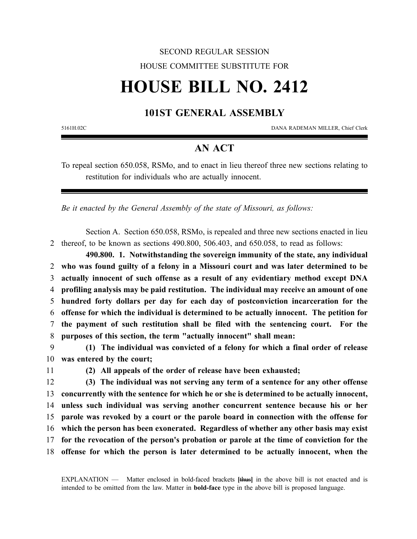## SECOND REGULAR SESSION HOUSE COMMITTEE SUBSTITUTE FOR

# **HOUSE BILL NO. 2412**

## **101ST GENERAL ASSEMBLY**

5161H.02C DANA RADEMAN MILLER, Chief Clerk

## **AN ACT**

To repeal section 650.058, RSMo, and to enact in lieu thereof three new sections relating to restitution for individuals who are actually innocent.

*Be it enacted by the General Assembly of the state of Missouri, as follows:*

Section A. Section 650.058, RSMo, is repealed and three new sections enacted in lieu 2 thereof, to be known as sections 490.800, 506.403, and 650.058, to read as follows:

**490.800. 1. Notwithstanding the sovereign immunity of the state, any individual who was found guilty of a felony in a Missouri court and was later determined to be actually innocent of such offense as a result of any evidentiary method except DNA profiling analysis may be paid restitution. The individual may receive an amount of one hundred forty dollars per day for each day of postconviction incarceration for the offense for which the individual is determined to be actually innocent. The petition for the payment of such restitution shall be filed with the sentencing court. For the purposes of this section, the term "actually innocent" shall mean:**

9 **(1) The individual was convicted of a felony for which a final order of release** 10 **was entered by the court;**

11 **(2) All appeals of the order of release have been exhausted;**

 **(3) The individual was not serving any term of a sentence for any other offense concurrently with the sentence for which he or she is determined to be actually innocent, unless such individual was serving another concurrent sentence because his or her parole was revoked by a court or the parole board in connection with the offense for which the person has been exonerated. Regardless of whether any other basis may exist for the revocation of the person's probation or parole at the time of conviction for the offense for which the person is later determined to be actually innocent, when the**

EXPLANATION — Matter enclosed in bold-faced brackets **[**thus**]** in the above bill is not enacted and is intended to be omitted from the law. Matter in **bold-face** type in the above bill is proposed language.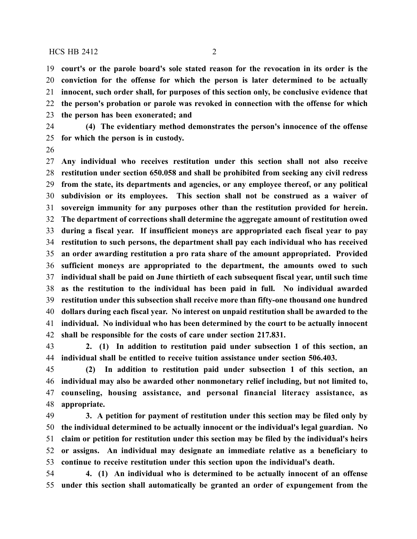### $HCS$  HB 2412 2

 **court's or the parole board's sole stated reason for the revocation in its order is the conviction for the offense for which the person is later determined to be actually innocent, such order shall, for purposes of this section only, be conclusive evidence that the person's probation or parole was revoked in connection with the offense for which the person has been exonerated; and**

- **(4) The evidentiary method demonstrates the person's innocence of the offense for which the person is in custody.**
- 

 **Any individual who receives restitution under this section shall not also receive restitution under section 650.058 and shall be prohibited from seeking any civil redress from the state, its departments and agencies, or any employee thereof, or any political subdivision or its employees. This section shall not be construed as a waiver of sovereign immunity for any purposes other than the restitution provided for herein. The department of corrections shall determine the aggregate amount of restitution owed during a fiscal year. If insufficient moneys are appropriated each fiscal year to pay restitution to such persons, the department shall pay each individual who has received an order awarding restitution a pro rata share of the amount appropriated. Provided sufficient moneys are appropriated to the department, the amounts owed to such individual shall be paid on June thirtieth of each subsequent fiscal year, until such time as the restitution to the individual has been paid in full. No individual awarded restitution under this subsection shall receive more than fifty-one thousand one hundred dollars during each fiscal year. No interest on unpaid restitution shall be awarded to the individual. No individual who has been determined by the court to be actually innocent shall be responsible for the costs of care under section 217.831.**

 **2. (1) In addition to restitution paid under subsection 1 of this section, an individual shall be entitled to receive tuition assistance under section 506.403.**

 **(2) In addition to restitution paid under subsection 1 of this section, an individual may also be awarded other nonmonetary relief including, but not limited to, counseling, housing assistance, and personal financial literacy assistance, as appropriate.**

 **3. A petition for payment of restitution under this section may be filed only by the individual determined to be actually innocent or the individual's legal guardian. No claim or petition for restitution under this section may be filed by the individual's heirs or assigns. An individual may designate an immediate relative as a beneficiary to continue to receive restitution under this section upon the individual's death.**

 **4. (1) An individual who is determined to be actually innocent of an offense under this section shall automatically be granted an order of expungement from the**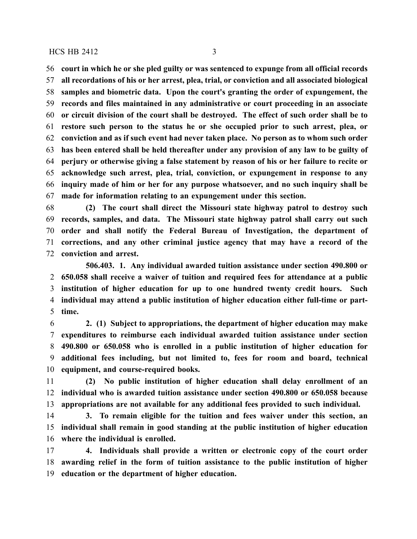#### $HCS$  HB 2412 3

 **court in which he or she pled guilty or was sentenced to expunge from all official records all recordations of his or her arrest, plea, trial, or conviction and all associated biological samples and biometric data. Upon the court's granting the order of expungement, the records and files maintained in any administrative or court proceeding in an associate or circuit division of the court shall be destroyed. The effect of such order shall be to restore such person to the status he or she occupied prior to such arrest, plea, or conviction and as if such event had never taken place. No person as to whom such order has been entered shall be held thereafter under any provision of any law to be guilty of perjury or otherwise giving a false statement by reason of his or her failure to recite or acknowledge such arrest, plea, trial, conviction, or expungement in response to any inquiry made of him or her for any purpose whatsoever, and no such inquiry shall be made for information relating to an expungement under this section.**

 **(2) The court shall direct the Missouri state highway patrol to destroy such records, samples, and data. The Missouri state highway patrol shall carry out such order and shall notify the Federal Bureau of Investigation, the department of corrections, and any other criminal justice agency that may have a record of the conviction and arrest.**

**506.403. 1. Any individual awarded tuition assistance under section 490.800 or 650.058 shall receive a waiver of tuition and required fees for attendance at a public institution of higher education for up to one hundred twenty credit hours. Such individual may attend a public institution of higher education either full-time or part-time.**

 **2. (1) Subject to appropriations, the department of higher education may make expenditures to reimburse each individual awarded tuition assistance under section 490.800 or 650.058 who is enrolled in a public institution of higher education for additional fees including, but not limited to, fees for room and board, technical equipment, and course-required books.**

 **(2) No public institution of higher education shall delay enrollment of an individual who is awarded tuition assistance under section 490.800 or 650.058 because appropriations are not available for any additional fees provided to such individual.**

 **3. To remain eligible for the tuition and fees waiver under this section, an individual shall remain in good standing at the public institution of higher education where the individual is enrolled.**

 **4. Individuals shall provide a written or electronic copy of the court order awarding relief in the form of tuition assistance to the public institution of higher education or the department of higher education.**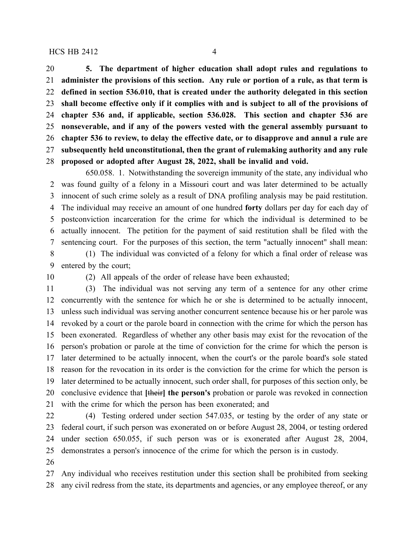### $HCS$  HB 2412 4

 **5. The department of higher education shall adopt rules and regulations to administer the provisions of this section. Any rule or portion of a rule, as that term is defined in section 536.010, that is created under the authority delegated in this section shall become effective only if it complies with and is subject to all of the provisions of chapter 536 and, if applicable, section 536.028. This section and chapter 536 are nonseverable, and if any of the powers vested with the general assembly pursuant to chapter 536 to review, to delay the effective date, or to disapprove and annul a rule are subsequently held unconstitutional, then the grant of rulemaking authority and any rule proposed or adopted after August 28, 2022, shall be invalid and void.**

650.058. 1. Notwithstanding the sovereign immunity of the state, any individual who was found guilty of a felony in a Missouri court and was later determined to be actually innocent of such crime solely as a result of DNA profiling analysis may be paid restitution. The individual may receive an amount of one hundred **forty** dollars per day for each day of postconviction incarceration for the crime for which the individual is determined to be actually innocent. The petition for the payment of said restitution shall be filed with the sentencing court. For the purposes of this section, the term "actually innocent" shall mean: (1) The individual was convicted of a felony for which a final order of release was

entered by the court;

(2) All appeals of the order of release have been exhausted;

 (3) The individual was not serving any term of a sentence for any other crime concurrently with the sentence for which he or she is determined to be actually innocent, unless such individual was serving another concurrent sentence because his or her parole was revoked by a court or the parole board in connection with the crime for which the person has been exonerated. Regardless of whether any other basis may exist for the revocation of the person's probation or parole at the time of conviction for the crime for which the person is later determined to be actually innocent, when the court's or the parole board's sole stated reason for the revocation in its order is the conviction for the crime for which the person is later determined to be actually innocent, such order shall, for purposes of this section only, be conclusive evidence that **[**their**] the person's** probation or parole was revoked in connection with the crime for which the person has been exonerated; and

 (4) Testing ordered under section 547.035, or testing by the order of any state or federal court, if such person was exonerated on or before August 28, 2004, or testing ordered under section 650.055, if such person was or is exonerated after August 28, 2004, demonstrates a person's innocence of the crime for which the person is in custody.

 Any individual who receives restitution under this section shall be prohibited from seeking any civil redress from the state, its departments and agencies, or any employee thereof, or any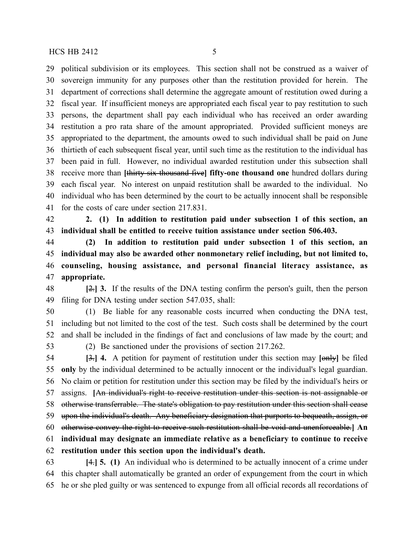political subdivision or its employees. This section shall not be construed as a waiver of sovereign immunity for any purposes other than the restitution provided for herein. The department of corrections shall determine the aggregate amount of restitution owed during a fiscal year. If insufficient moneys are appropriated each fiscal year to pay restitution to such persons, the department shall pay each individual who has received an order awarding restitution a pro rata share of the amount appropriated. Provided sufficient moneys are appropriated to the department, the amounts owed to such individual shall be paid on June thirtieth of each subsequent fiscal year, until such time as the restitution to the individual has been paid in full. However, no individual awarded restitution under this subsection shall receive more than **[**thirty-six thousand five**] fifty-one thousand one** hundred dollars during each fiscal year. No interest on unpaid restitution shall be awarded to the individual. No individual who has been determined by the court to be actually innocent shall be responsible for the costs of care under section 217.831.

 **2. (1) In addition to restitution paid under subsection 1 of this section, an individual shall be entitled to receive tuition assistance under section 506.403.**

 **(2) In addition to restitution paid under subsection 1 of this section, an individual may also be awarded other nonmonetary relief including, but not limited to, counseling, housing assistance, and personal financial literacy assistance, as appropriate.**

 **[**2.**] 3.** If the results of the DNA testing confirm the person's guilt, then the person filing for DNA testing under section 547.035, shall:

 (1) Be liable for any reasonable costs incurred when conducting the DNA test, including but not limited to the cost of the test. Such costs shall be determined by the court and shall be included in the findings of fact and conclusions of law made by the court; and (2) Be sanctioned under the provisions of section 217.262.

 **[**3.**] 4.** A petition for payment of restitution under this section may **[**only**]** be filed **only** by the individual determined to be actually innocent or the individual's legal guardian. No claim or petition for restitution under this section may be filed by the individual's heirs or assigns. **[**An individual's right to receive restitution under this section is not assignable or otherwise transferrable. The state's obligation to pay restitution under this section shall cease upon the individual's death. Any beneficiary designation that purports to bequeath, assign, or otherwise convey the right to receive such restitution shall be void and unenforceable.**] An individual may designate an immediate relative as a beneficiary to continue to receive restitution under this section upon the individual's death.**

 **[**4.**] 5. (1)** An individual who is determined to be actually innocent of a crime under this chapter shall automatically be granted an order of expungement from the court in which he or she pled guilty or was sentenced to expunge from all official records all recordations of